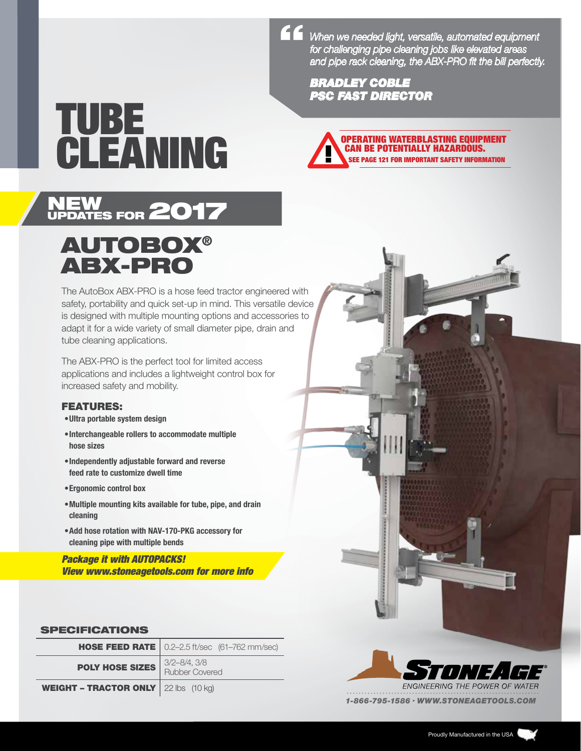*When we needed light, versatile, automated equipment for challenging pipe cleaning jobs like elevated areas and pipe rack cleaning, the ABX-PRO fit the bill perfectly.* "

> *BRADLEY COBLE PSC FAST DIRECTOR*

# TUBE



## AUTOBOX® ABX-PRO

NEW FOR 2017

The AutoBox ABX-PRO is a hose feed tractor engineered with safety, portability and quick set-up in mind. This versatile device is designed with multiple mounting options and accessories to adapt it for a wide variety of small diameter pipe, drain and tube cleaning applications.

The ABX-PRO is the perfect tool for limited access applications and includes a lightweight control box for increased safety and mobility.

#### FEATURES:

- •Ultra portable system design
- •Interchangeable rollers to accommodate multiple hose sizes
- •Independently adjustable forward and reverse feed rate to customize dwell time
- •Ergonomic control box
- •Multiple mounting kits available for tube, pipe, and drain cleaning
- •Add hose rotation with NAV-170-PKG accessory for cleaning pipe with multiple bends

*Package it with AUTOPACKS! View www.stoneagetools.com for more info*

#### SPECIFICATIONS

|                                                       | <b>HOSE FEED RATE</b>   $0.2 - 2.5$ ft/sec $(61 - 762$ mm/sec) |
|-------------------------------------------------------|----------------------------------------------------------------|
| <b>POLY HOSE SIZES</b> Rubber Covered                 | $3/2 - 8/4$ , $3/8$                                            |
| <b>WEIGHT - TRACTOR ONLY</b> 22 lbs $(10 \text{ kg})$ |                                                                |



*1-866-795-1586 . WWW.STONEAGETOOLS.COM*